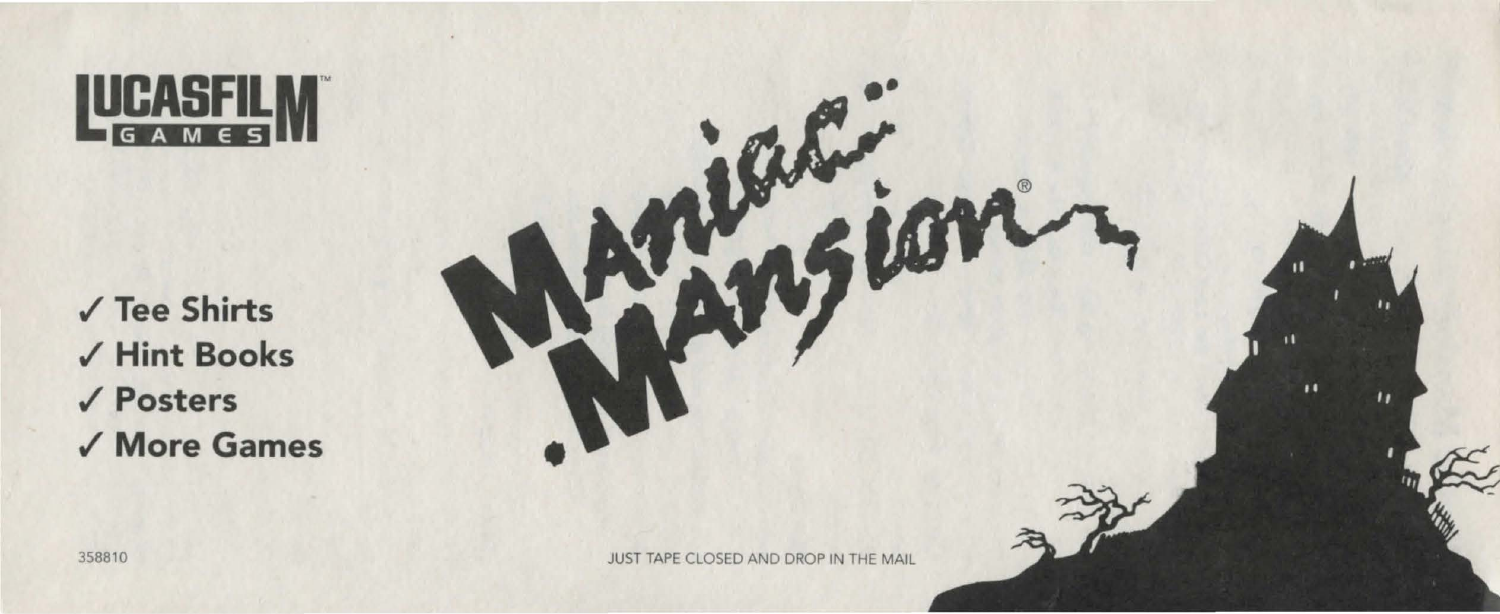## LUCASFILM™ GAMES

./ Tee Shirts ,/ Hint Books ./Posters ./ More Games



358810 JUST TAPE CLOSED AND DROP IN THE MAIL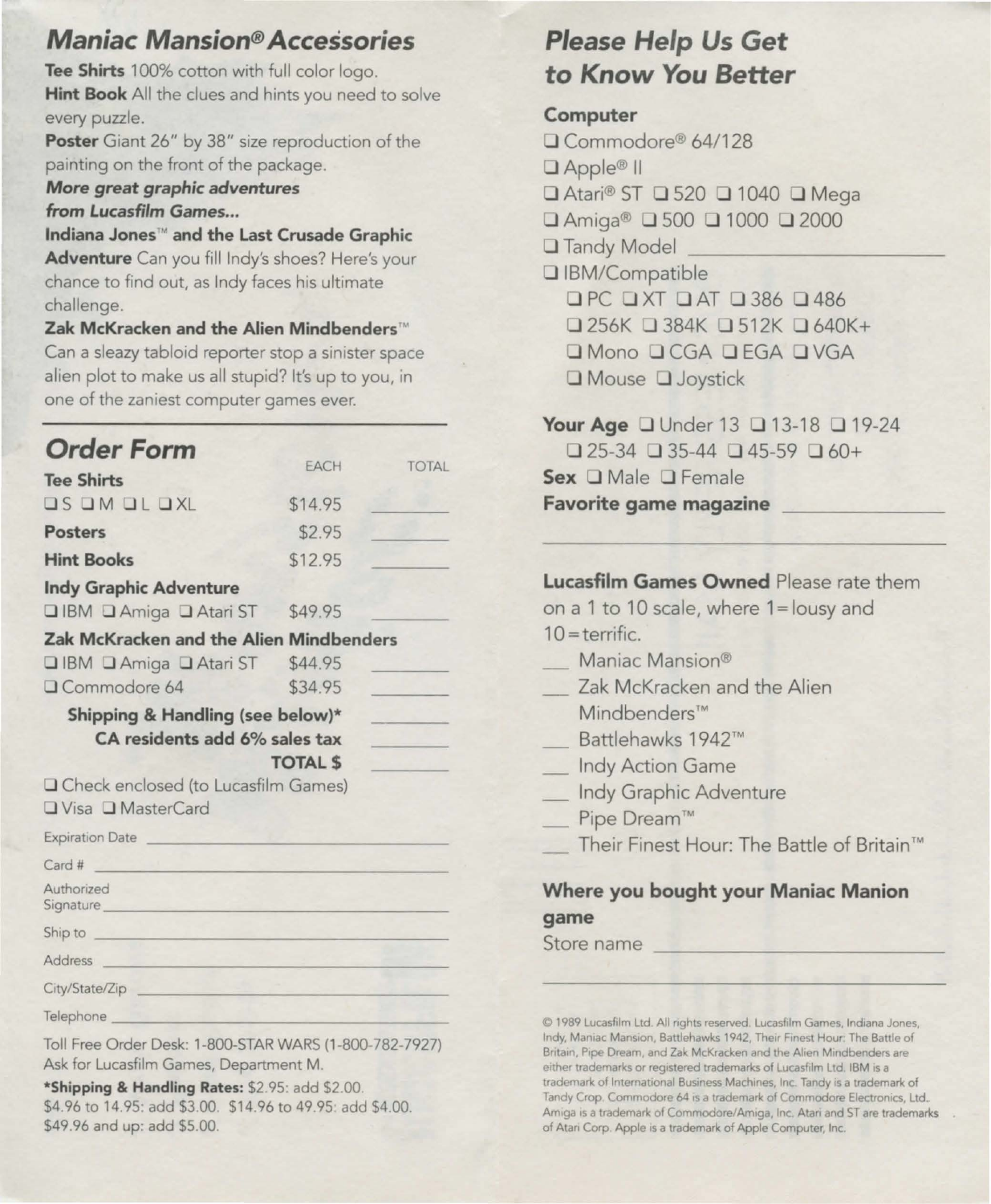## *Maniac Mansion® Accessories*

**Tee Shirts** 100% cotton with full color logo. **Hint Book** All the clues and hints you need to solve every puzzle.

Poster Giant 26" by 38" size reproduction of the painting on the front of the package.

*More great graphic adventures*  **from** *Lucasfilm Games ...* 

**Indiana Jones™ and the Last Crusade Graphic Adventure** Can you fill lndy's shoes? Here's your chance to find out, as Indy faces his ultimate challenge.

**Zak McKracken and the Alien Mindbenders™**  Can a sleazy tabloid reporter stop a sinister space alien plot to make us all stupid? It's up to you, in one of the zaniest computer games ever.

EACH

TOTAL

# *Order* **Form**

| <b>Tee Shirts</b>                                                                                                                                                                                                                    |                | $\sim$ |
|--------------------------------------------------------------------------------------------------------------------------------------------------------------------------------------------------------------------------------------|----------------|--------|
| <b>OS OM OL OXL</b>                                                                                                                                                                                                                  | \$14.95        |        |
| <b>Posters</b>                                                                                                                                                                                                                       | \$2.95         |        |
| <b>Hint Books</b>                                                                                                                                                                                                                    | \$12.95        |        |
| <b>Indy Graphic Adventure</b>                                                                                                                                                                                                        |                |        |
| □ IBM □ Amiga □ Atari ST \$49.95                                                                                                                                                                                                     |                |        |
| Zak McKracken and the Alien Mindbenders                                                                                                                                                                                              |                |        |
| □ IBM □ Amiga □ Atari ST \$44.95                                                                                                                                                                                                     |                |        |
| QCommodore 64                                                                                                                                                                                                                        | \$34.95        |        |
| CA residents add 6% sales tax<br>O Check enclosed (to Lucasfilm Games)<br><b>QVisa Q MasterCard</b>                                                                                                                                  | <b>TOTAL S</b> |        |
| Expiration Date                                                                                                                                                                                                                      |                |        |
| Card #<br><u>Alexandria de la contrada de la c</u>                                                                                                                                                                                   |                |        |
| Authorized<br>Signature <b>Executive Signature Executive Signature Executive Signature Executive Signature Executive Signature</b>                                                                                                   |                |        |
|                                                                                                                                                                                                                                      |                |        |
| Address <b>Executive Contract Contract Contract Contract Contract Contract Contract Contract Contract Contract Contract Contract Contract Contract Contract Contract Contract Contract Contract Contract Contract Contract Contr</b> |                |        |
| City/State/Zip                                                                                                                                                                                                                       |                |        |
| Telephone <b>Executive Service Contract Contract Contract Contract Contract Contract Contract Contract Contract Contract Contract Contract Contract Contract Contract Contract Contract Contract Contract Contract Contract Co</b>   |                |        |
| Toll Free Order Desk: 1-800-STAR WARS (1-800-782-7927)                                                                                                                                                                               |                |        |

Toll Free Order Desk: 1-800-STAR WARS (1-800-782-7927) Ask for Lucasfilm Games, Department M.

**\*Shipping & Handling Rates:** \$2.95: add \$2.00. \$4.96 to 14.95: add \$3.00. \$14.96 to 49.95: add \$4.00. \$49.96 and up: add \$5.00.

# *Please Help Us* **Get to** *Know* **You** *Better*

#### **Computer**

**D** Commodore® 64/128 □ Apple® II **D** Atari® ST **D** 520 **D** 1040 **D** Mega **D** Amiga® **D** 500 **D** 1 OOO **D** 2000 **D** Tandy Model **D** IBM/Compatible **D PC 0** XT DAT 0 386 D 486 **D** 256K **D** 384K **D** 512K **D** 640K+ **D** Mono **D** CGA **D** EGA **D** VGA Mouse **D** Joystick

**Your Age D** Under 13 **D** 13-18 **D** 19-24 **D** 25-34 **D** 35-44 **D** 45-59 D 60+ **Sex D** Male **D** Female **Favorite game magazine** 

### **Lucasfilm Games Owned** Please rate them

on a 1 to 10 scale, where 1=lousy and  $10 = \text{terrific.}$ 

- Maniac Mansion®
- Zak McKracken and the Alien Mind benders™
- Battlehawks 1942™
- Indy Action Game
- Indy Graphic Adventure
- Pipe Dream™
- Their Finest Hour: The Battle of Britain™

#### **Where you bought your Maniac Manion game**

Store name

© 1989 Lucasfilm Ltd All nghts reserved. Lucasfilm Games, Indiana Jones, Indy, Maniac Mansion, Battlehawks 1942, Their Finest Hour: The Battle of Britain, Pipe Dream, and Zak McKracken and the Alien Mindbenders are **either trademarks or registered trademarks of Lucasfilm Ltd\_ IBM 1s a trademark of International Business Machines, Inc. Tandy is a trademark of**  Tandy Crop. Commodore 64 is a trademark of Commodore Electronics, Ltd.. Amiga is a trademark of Commodore/Amiga, Inc. Atari and ST are trademarks of Atari Corp Apple is a trademark of Apple Computer, Inc.